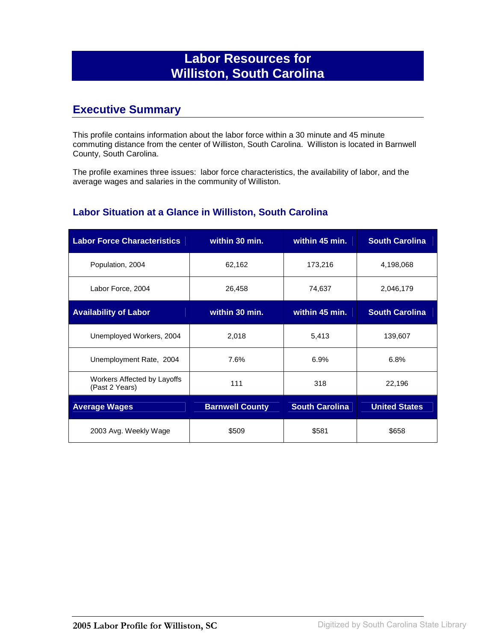# **Labor Resources for Williston, South Carolina**

## **Executive Summary**

This profile contains information about the labor force within a 30 minute and 45 minute commuting distance from the center of Williston, South Carolina. Williston is located in Barnwell County, South Carolina.

The profile examines three issues: labor force characteristics, the availability of labor, and the average wages and salaries in the community of Williston.

#### **Labor Situation at a Glance in Williston, South Carolina**

| <b>Labor Force Characteristics</b>            | within 30 min.         | within 45 min.        | <b>South Carolina</b> |
|-----------------------------------------------|------------------------|-----------------------|-----------------------|
| Population, 2004                              | 62,162                 | 173,216               | 4,198,068             |
| Labor Force, 2004                             | 26,458                 | 74,637                | 2,046,179             |
| <b>Availability of Labor</b>                  | within 30 min.         | within 45 min.        | <b>South Carolina</b> |
| Unemployed Workers, 2004                      | 2,018                  | 5,413                 | 139,607               |
| Unemployment Rate, 2004                       | 7.6%                   | 6.9%                  | 6.8%                  |
| Workers Affected by Layoffs<br>(Past 2 Years) | 111                    | 318                   | 22,196                |
| <b>Average Wages</b>                          | <b>Barnwell County</b> | <b>South Carolina</b> | <b>United States</b>  |
| 2003 Avg. Weekly Wage                         | \$509                  | \$581                 | \$658                 |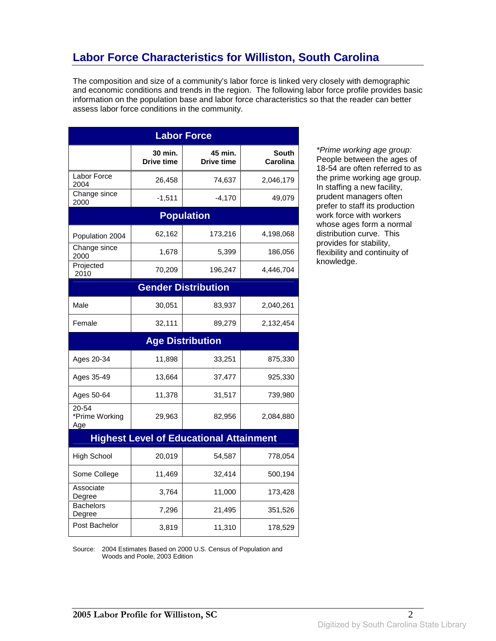# **Labor Force Characteristics for Williston, South Carolina**

The composition and size of a community's labor force is linked very closely with demographic and economic conditions and trends in the region. The following labor force profile provides basic information on the population base and labor force characteristics so that the reader can better assess labor force conditions in the community.

| <b>Labor Force</b>             |                       |                                                |                          |
|--------------------------------|-----------------------|------------------------------------------------|--------------------------|
|                                | 30 min.<br>Drive time | 45 min.<br>Drive time                          | <b>South</b><br>Carolina |
| Labor Force<br>2004            | 26,458                | 74,637                                         | 2,046,179                |
| Change since<br>2000           | $-1,511$              | $-4,170$                                       | 49,079                   |
|                                |                       | <b>Population</b>                              |                          |
| Population 2004                | 62,162                | 173,216                                        | 4,198,068                |
| Change since<br>2000           | 1,678                 | 5,399                                          | 186,056                  |
| Projected<br>2010              | 70,209                | 196,247                                        | 4,446,704                |
|                                |                       | <b>Gender Distribution</b>                     |                          |
| Male                           | 30,051                | 83,937                                         | 2,040,261                |
| Female                         | 32,111                | 89,279                                         | 2,132,454                |
|                                |                       | <b>Age Distribution</b>                        |                          |
| Ages 20-34                     | 11,898                | 33,251                                         | 875,330                  |
| Ages 35-49                     | 13,664                | 37,477                                         | 925,330                  |
| Ages 50-64                     | 11,378                | 31,517                                         | 739,980                  |
| 20-54<br>*Prime Working<br>Age | 29,963                | 82,956                                         | 2,084,880                |
|                                |                       | <b>Highest Level of Educational Attainment</b> |                          |
| <b>High School</b>             | 20,019                | 54,587                                         | 778,054                  |
| Some College                   | 11,469                | 32,414                                         | 500,194                  |
| Associate<br>Degree            | 3,764                 | 11,000                                         | 173,428                  |
| Bachelors<br>Degree            | 7,296                 | 21,495                                         | 351,526                  |
| Post Bachelor                  | 3,819                 | 11,310                                         | 178,529                  |

\*Prime working age group: People between the ages of 18-54 are often referred to as the prime working age group. In staffing a new facility, prudent managers often prefer to staff its production work force with workers whose ages form a normal distribution curve. This provides for stability, flexibility and continuity of knowledge.

Source: 2004 Estimates Based on 2000 U.S. Census of Population and Woods and Poole, 2003 Edition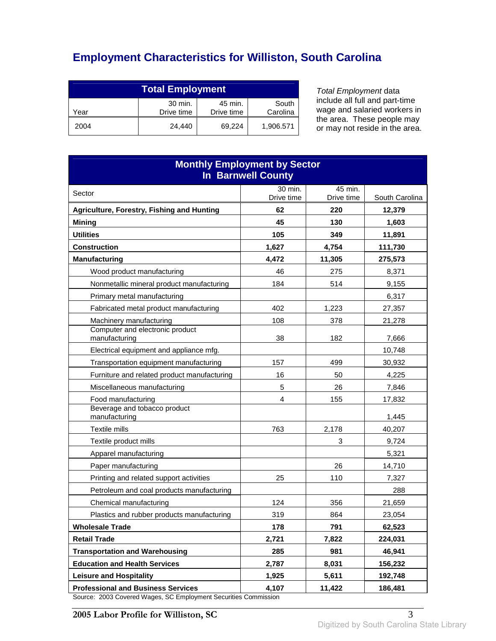# **Employment Characteristics for Williston, South Carolina**

| <b>Total Employment</b>                                                     |        |        |           |
|-----------------------------------------------------------------------------|--------|--------|-----------|
| 30 min.<br>45 min.<br>South<br>Drive time<br>Carolina<br>Drive time<br>Year |        |        |           |
| 2004                                                                        | 24.440 | 69.224 | 1,906.571 |

Total Employment data include all full and part-time wage and salaried workers in the area. These people may or may not reside in the area.

| <b>Monthly Employment by Sector</b><br><b>In Barnwell County</b>                                  |                  |                   |                          |
|---------------------------------------------------------------------------------------------------|------------------|-------------------|--------------------------|
| Sector                                                                                            | 30 min.          | 45 min.           |                          |
| Agriculture, Forestry, Fishing and Hunting                                                        | Drive time<br>62 | Drive time<br>220 | South Carolina<br>12,379 |
| <b>Mining</b>                                                                                     | 45               | 130               | 1,603                    |
| <b>Utilities</b>                                                                                  | 105              | 349               | 11,891                   |
| <b>Construction</b>                                                                               | 1,627            | 4,754             | 111,730                  |
| <b>Manufacturing</b>                                                                              | 4,472            | 11,305            | 275,573                  |
| Wood product manufacturing                                                                        | 46               | 275               | 8,371                    |
| Nonmetallic mineral product manufacturing                                                         | 184              | 514               | 9,155                    |
| Primary metal manufacturing                                                                       |                  |                   | 6,317                    |
| Fabricated metal product manufacturing                                                            | 402              | 1,223             | 27,357                   |
| Machinery manufacturing                                                                           | 108              | 378               | 21,278                   |
| Computer and electronic product<br>manufacturing                                                  | 38               | 182               | 7,666                    |
| Electrical equipment and appliance mfg.                                                           |                  |                   | 10.748                   |
| Transportation equipment manufacturing                                                            | 157              | 499               | 30,932                   |
| Furniture and related product manufacturing                                                       | 16               | 50                | 4,225                    |
| Miscellaneous manufacturing                                                                       | 5                | 26                | 7,846                    |
| Food manufacturing                                                                                | 4                | 155               | 17,832                   |
| Beverage and tobacco product<br>manufacturing                                                     |                  |                   | 1,445                    |
| Textile mills                                                                                     | 763              | 2,178             | 40,207                   |
| Textile product mills                                                                             |                  | 3                 | 9,724                    |
| Apparel manufacturing                                                                             |                  |                   | 5,321                    |
| Paper manufacturing                                                                               |                  | 26                | 14,710                   |
| Printing and related support activities                                                           | 25               | 110               | 7,327                    |
| Petroleum and coal products manufacturing                                                         |                  |                   | 288                      |
| Chemical manufacturing                                                                            | 124              | 356               | 21,659                   |
| Plastics and rubber products manufacturing                                                        | 319              | 864               | 23,054                   |
| <b>Wholesale Trade</b>                                                                            | 178              | 791               | 62,523                   |
| <b>Retail Trade</b>                                                                               | 2,721            | 7,822             | 224,031                  |
| <b>Transportation and Warehousing</b>                                                             | 285              | 981               | 46,941                   |
| <b>Education and Health Services</b>                                                              | 2,787            | 8,031             | 156,232                  |
| <b>Leisure and Hospitality</b>                                                                    | 1,925            | 5,611             | 192,748                  |
| <b>Professional and Business Services</b><br>co: 2003 Covered Wages, SC Employment Securities Co. | 4,107            | 11,422            | 186,481                  |

Source: 2003 Covered Wages, SC Employment Securities Commission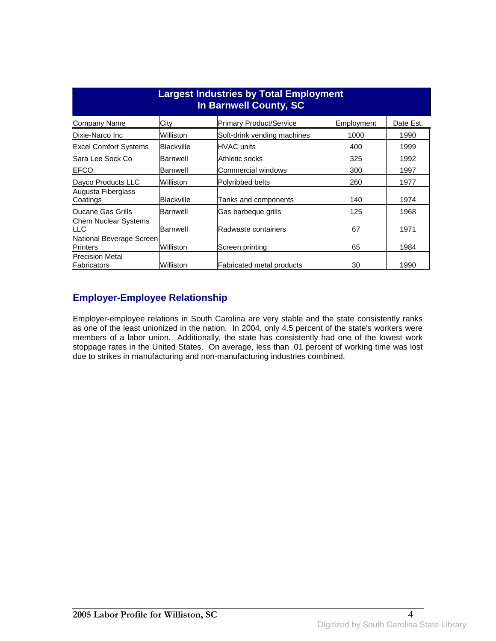| <b>Largest Industries by Total Employment</b><br>In Barnwell County, SC |                   |                                  |            |           |
|-------------------------------------------------------------------------|-------------------|----------------------------------|------------|-----------|
| Company Name                                                            | City              | <b>Primary Product/Service</b>   | Employment | Date Est. |
| Dixie-Narco Inc                                                         | Williston         | Soft-drink vending machines      | 1000       | 1990      |
| <b>Excel Comfort Systems</b>                                            | Blackville        | <b>HVAC</b> units                | 400        | 1999      |
| lSara Lee Sock Co                                                       | Barnwell          | Athletic socks                   | 325        | 1992      |
| <b>IEFCO</b>                                                            | Barnwell          | Commercial windows               | 300        | 1997      |
| Dayco Products LLC                                                      | Williston         | Polyribbed belts                 | 260        | 1977      |
| Augusta Fiberglass<br>Coatings                                          | <b>Blackville</b> | Tanks and components             | 140        | 1974      |
| Ducane Gas Grills                                                       | Barnwell          | Gas barbeque grills              | 125        | 1968      |
| Chem Nuclear Systems<br><b>ILLC</b>                                     | Barnwell          | Radwaste containers              | 67         | 1971      |
| National Beverage Screen<br><b>Printers</b>                             | Williston         | Screen printing                  | 65         | 1984      |
| <b>Precision Metal</b><br>Fabricators                                   | Williston         | <b>Fabricated metal products</b> | 30         | 1990      |

### **Employer-Employee Relationship**

Employer-employee relations in South Carolina are very stable and the state consistently ranks as one of the least unionized in the nation. In 2004, only 4.5 percent of the state's workers were members of a labor union. Additionally, the state has consistently had one of the lowest work stoppage rates in the United States. On average, less than .01 percent of working time was lost due to strikes in manufacturing and non-manufacturing industries combined.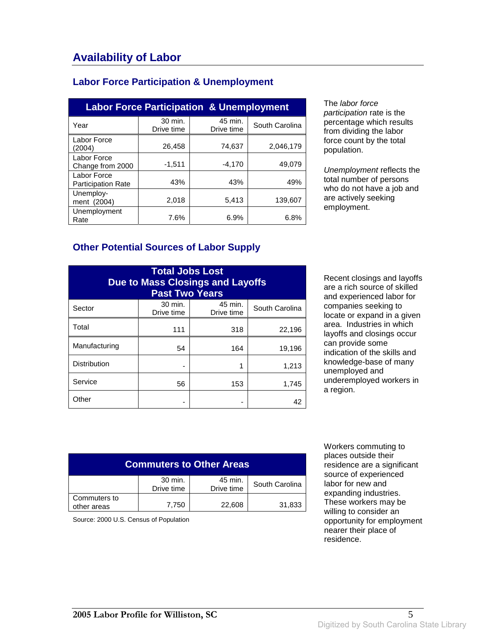### **Labor Force Participation & Unemployment**

| <b>Labor Force Participation &amp; Unemployment</b> |                       |                       |                |  |
|-----------------------------------------------------|-----------------------|-----------------------|----------------|--|
| Year                                                | 30 min.<br>Drive time | 45 min.<br>Drive time | South Carolina |  |
| Labor Force<br>(2004)                               | 26,458                | 74,637                | 2,046,179      |  |
| Labor Force<br>Change from 2000                     | $-1,511$              | $-4.170$              | 49,079         |  |
| Labor Force<br><b>Participation Rate</b>            | 43%                   | 43%                   | 49%            |  |
| Unemploy-<br>ment (2004)                            | 2,018                 | 5,413                 | 139.607        |  |
| Unemployment<br>Rate                                | 7.6%                  | 6.9%                  | 6.8%           |  |

The labor force participation rate is the percentage which results from dividing the labor force count by the total population.

Unemployment reflects the total number of persons who do not have a job and are actively seeking employment.

#### **Other Potential Sources of Labor Supply**

| <b>Total Jobs Lost</b><br><b>Due to Mass Closings and Layoffs</b><br><b>Past Two Years</b> |                       |                       |                |
|--------------------------------------------------------------------------------------------|-----------------------|-----------------------|----------------|
| Sector                                                                                     | 30 min.<br>Drive time | 45 min.<br>Drive time | South Carolina |
| Total                                                                                      | 111                   | 318                   | 22,196         |
| Manufacturing                                                                              | 54                    | 164                   | 19,196         |
| <b>Distribution</b>                                                                        |                       | 1                     | 1,213          |
| Service                                                                                    | 56                    | 153                   | 1,745          |
| Other                                                                                      |                       |                       | 42             |

Recent closings and layoffs are a rich source of skilled and experienced labor for companies seeking to locate or expand in a given area. Industries in which layoffs and closings occur can provide some indication of the skills and knowledge-base of many unemployed and underemployed workers in a region.

| <b>Commuters to Other Areas</b>                                  |       |        |        |  |
|------------------------------------------------------------------|-------|--------|--------|--|
| 30 min.<br>45 min.<br>South Carolina<br>Drive time<br>Drive time |       |        |        |  |
| Commuters to<br>other areas                                      | 7,750 | 22,608 | 31,833 |  |

Source: 2000 U.S. Census of Population

 Workers commuting to places outside their residence are a significant source of experienced labor for new and expanding industries. These workers may be willing to consider an opportunity for employment nearer their place of residence.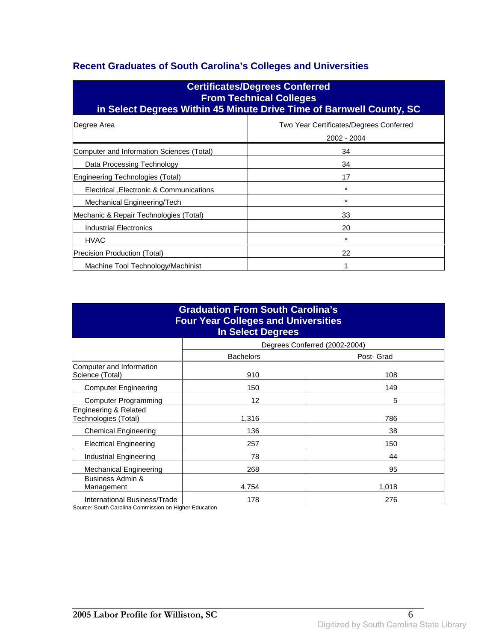## **Recent Graduates of South Carolina's Colleges and Universities**

| <b>Certificates/Degrees Conferred</b><br><b>From Technical Colleges</b><br>in Select Degrees Within 45 Minute Drive Time of Barnwell County, SC |                                                        |  |  |
|-------------------------------------------------------------------------------------------------------------------------------------------------|--------------------------------------------------------|--|--|
| Degree Area                                                                                                                                     | Two Year Certificates/Degrees Conferred<br>2002 - 2004 |  |  |
| Computer and Information Sciences (Total)                                                                                                       | 34                                                     |  |  |
| Data Processing Technology                                                                                                                      | 34                                                     |  |  |
| Engineering Technologies (Total)                                                                                                                | 17                                                     |  |  |
| Electrical , Electronic & Communications                                                                                                        | $\star$                                                |  |  |
| Mechanical Engineering/Tech                                                                                                                     | $\star$                                                |  |  |
| Mechanic & Repair Technologies (Total)                                                                                                          | 33                                                     |  |  |
| Industrial Electronics                                                                                                                          | 20                                                     |  |  |
| <b>HVAC</b>                                                                                                                                     | *                                                      |  |  |
| Precision Production (Total)                                                                                                                    | 22                                                     |  |  |
| Machine Tool Technology/Machinist                                                                                                               |                                                        |  |  |

| <b>Graduation From South Carolina's</b><br><b>Four Year Colleges and Universities</b><br><b>In Select Degrees</b> |                   |                               |  |
|-------------------------------------------------------------------------------------------------------------------|-------------------|-------------------------------|--|
|                                                                                                                   |                   | Degrees Conferred (2002-2004) |  |
|                                                                                                                   | <b>Bachelors</b>  | Post- Grad                    |  |
| Computer and Information<br>Science (Total)                                                                       | 910               | 108                           |  |
| <b>Computer Engineering</b>                                                                                       | 150               | 149                           |  |
| Computer Programming                                                                                              | $12 \overline{ }$ | 5                             |  |
| Engineering & Related<br>Technologies (Total)                                                                     | 1,316             | 786                           |  |
| <b>Chemical Engineering</b>                                                                                       | 136               | 38                            |  |
| <b>Electrical Engineering</b>                                                                                     | 257               | 150                           |  |
| Industrial Engineering                                                                                            | 78                | 44                            |  |
| Mechanical Engineering                                                                                            | 268               | 95                            |  |
| Business Admin &<br>Management                                                                                    | 4,754             | 1,018                         |  |
| International Business/Trade                                                                                      | 178               | 276                           |  |

Source: South Carolina Commission on Higher Education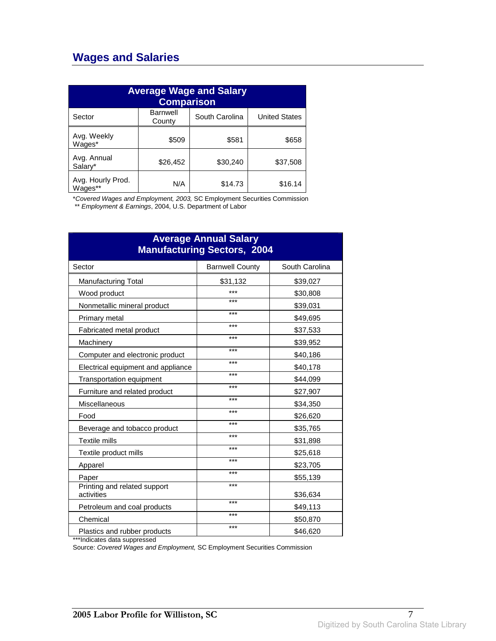## **Wages and Salaries**

| <b>Average Wage and Salary</b><br><b>Comparison</b> |                           |                |                      |
|-----------------------------------------------------|---------------------------|----------------|----------------------|
| Sector                                              | <b>Barnwell</b><br>County | South Carolina | <b>United States</b> |
| Avg. Weekly<br>Wages*                               | \$509                     | \$581          | \$658                |
| Avg. Annual<br>Salary*                              | \$26,452                  | \$30,240       | \$37,508             |
| Avg. Hourly Prod.<br>Wages**                        | N/A                       | \$14.73        | \$16.14              |

\*Covered Wages and Employment, 2003, SC Employment Securities Commission

\*\* Employment & Earnings, 2004, U.S. Department of Labor

| <b>Average Annual Salary</b><br><b>Manufacturing Sectors, 2004</b> |                        |                |  |
|--------------------------------------------------------------------|------------------------|----------------|--|
| Sector                                                             | <b>Barnwell County</b> | South Carolina |  |
| <b>Manufacturing Total</b>                                         | \$31,132               | \$39,027       |  |
| Wood product                                                       | ***                    | \$30,808       |  |
| Nonmetallic mineral product                                        | ***                    | \$39,031       |  |
| Primary metal                                                      | ***                    | \$49,695       |  |
| Fabricated metal product                                           | ***                    | \$37,533       |  |
| Machinery                                                          | ***                    | \$39,952       |  |
| Computer and electronic product                                    | ***                    | \$40,186       |  |
| Electrical equipment and appliance                                 | ***                    | \$40,178       |  |
| Transportation equipment                                           | ***                    | \$44,099       |  |
| Furniture and related product                                      | ***                    | \$27,907       |  |
| Miscellaneous                                                      | ***                    | \$34,350       |  |
| Food                                                               | ***                    | \$26,620       |  |
| Beverage and tobacco product                                       | ***                    | \$35,765       |  |
| <b>Textile mills</b>                                               | ***                    | \$31,898       |  |
| Textile product mills                                              | ***                    | \$25,618       |  |
| Apparel                                                            | ***                    | \$23,705       |  |
| Paper                                                              | ***                    | \$55,139       |  |
| Printing and related support<br>activities                         | ***                    | \$36,634       |  |
| Petroleum and coal products                                        | ***                    | \$49,113       |  |
| Chemical                                                           | ***                    | \$50,870       |  |
| Plastics and rubber products                                       | ***                    | \$46,620       |  |

\*\*\*Indicates data suppressed

Source: Covered Wages and Employment, SC Employment Securities Commission